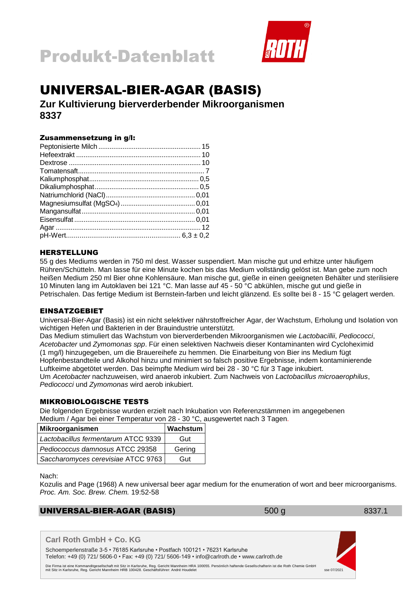



## UNIVERSAL-BIER-AGAR (BASIS)

**Zur Kultivierung bierverderbender Mikroorganismen 8337**

### Zusammensetzung in g/l:

### HERSTELLUNG

55 g des Mediums werden in 750 ml dest. Wasser suspendiert. Man mische gut und erhitze unter häufigem Rühren/Schütteln. Man lasse für eine Minute kochen bis das Medium vollständig gelöst ist. Man gebe zum noch heißen Medium 250 ml Bier ohne Kohlensäure. Man mische gut, gieße in einen geeigneten Behälter und sterilisiere 10 Minuten lang im Autoklaven bei 121 °C. Man lasse auf 45 - 50 °C abkühlen, mische gut und gieße in Petrischalen. Das fertige Medium ist Bernstein-farben und leicht glänzend. Es sollte bei 8 - 15 °C gelagert werden.

### EINSATZGEBIET

Universal-Bier-Agar (Basis) ist ein nicht selektiver nährstoffreicher Agar, der Wachstum, Erholung und Isolation von wichtigen Hefen und Bakterien in der Brauindustrie unterstützt.

Das Medium stimuliert das Wachstum von bierverderbenden Mikroorganismen wie *Lactobacillii*, *Pediococci*, *Acetobacter* und *Zymomonas spp*. Für einen selektiven Nachweis dieser Kontaminanten wird Cycloheximid (1 mg/l) hinzugegeben, um die Brauereihefe zu hemmen. Die Einarbeitung von Bier ins Medium fügt Hopfenbestandteile und Alkohol hinzu und minimiert so falsch positive Ergebnisse, indem kontaminierende Luftkeime abgetötet werden. Das beimpfte Medium wird bei 28 - 30 °C für 3 Tage inkubiert. Um *Acetobacter* nachzuweisen, wird anaerob inkubiert. Zum Nachweis von *Lactobacillus microaerophilus*, *Pediococci* und *Zymomonas* wird aerob inkubiert.

### MIKROBIOLOGISCHE TESTS

Die folgenden Ergebnisse wurden erzielt nach Inkubation von Referenzstämmen im angegebenen Medium / Agar bei einer Temperatur von 28 - 30 °C, ausgewertet nach 3 Tagen.

| Mikroorganismen                     | <b>Wachstum</b> |
|-------------------------------------|-----------------|
| Lactobacillus fermentarum ATCC 9339 | Gut             |
| Pediococcus damnosus ATCC 29358     | Gering          |
| Saccharomyces cerevisiae ATCC 9763  | Gut             |

Nach:

Kozulis and Page (1968) A new universal beer agar medium for the enumeration of wort and beer microorganisms. *Proc. Am. Soc. Brew. Chem.* 19:52-58

### UNIVERSAL-BIER-AGAR (BASIS) 500 g 8337.1

**Carl Roth GmbH + Co. KG**

Schoemperlenstraße 3-5 • 76185 Karlsruhe • Postfach 100121 • 76231 Karlsruhe Telefon: +49 (0) 721/ 5606-0 • Fax: +49 (0) 721/ 5606-149 • info@carlroth.de • www.carlroth.de

Die Firma ist eine Kommanditgesellschaft mit Sitz in Karlsruhe, Reg. Gericht Mannheim HRA 100055. Persönlich haftende Gesellschafterin ist die Roth Chemie GmbH<br>1902- sse 07/2021 mit Sitz in Karlsruhe, Gericht Mannheim HRB